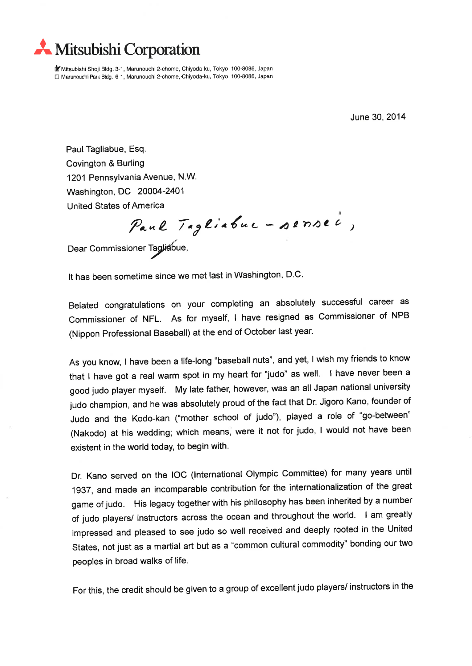**K** Mitsubishi Corporation

**Mitsubishi Shoji Bidg. 3-1, Marunouchi 2-chome, Chiyoda-ku, Tokyo 100-8086, Japan** □ Marunouchi Park Bidg. 6-1, Marunouchi 2-chome, Chiyoda-ku, Tokyo 100-8086, Japan

June 30,2014

Paul Tagliabue, Esq. Covington&Burling 1201 Pennsylvania Avenue, N.W. Washington, DC 20004-2401 United States of America

Paul Tagliabuc - pensec,

Dear Commissioner Tagliabue,

It has been sometime since we met last in Washington, D.C.

Belated congratulations on your completing an abSOlutely successfui career as Commissioner of NFL. As for myself, I have resigned as Commissioner of NPB (Nippon Professional Baseball) at the end of October last year.

As you know, I have been a life-long "baseball nuts", and yet, I wish my friends to know that I have got a real warm spot in my heart for "judo" as well. I have never been a good judo player myself. My late father, however, was an all Japan national university judo champion, and he was absolutely proud of the fact that Dr. Jigoro Kano, founder of Judo and the Kodo-kan ("mother school of judo"), played a role of "go-between" (Nakodo) at his wedding; which means, were it not for judo, I would not have been existent in the world today, to begin with.

Dr. Kano served on the IOC (International Olympic Committee) for many years until 1937, and made an incomparable contribution for the internationalization of the great game of judo. His legacy together with his philosophy has been inherited by a number of judo players/ instructors across the ocean and throughout the world. I am greatly impressed and pleased to see judo so well received and deeply rooted in the United States, not just as a martial art but as a "common cultural commodity" bonding our two peoples in broad walks of life.

For this, the credit should be given to a group of excellent judo players/ instructors in the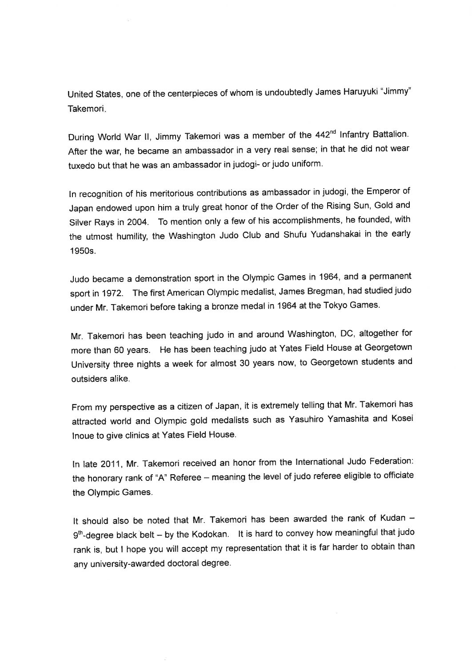United States, one of the centerpieces of whom is undoubtedly James Haruyuki "Jimmy" Takemori.

During World War II, Jimmy Takemori was a member of the 442<sup>nd</sup> Infantry Battalion. After the war, he became an ambassador in a very real sense; in that he did not wear tuxedo but that he was an ambassador in judogi- or judo uniform.

In recognition of his meritorious contributions as ambassador in judogi, the Emperor of Japan endowed upon him a truly great honor of the Order of the Rising Sun, Gold and Silver Rays in 2004. To mention only a few of his accomplishments, he founded, with the utmost humility, the Washington Judo Club and Shufu Yudanshakai in the early 1950s.

Judo became a demonstration sport in the Olympic Games in 1964, and a permanent sport in 1972. The first American Olympic medalist, James Bregman, had studied judo under Mr. Takemori before taking a bronze medal in 1964 at the Tokyo Games.

Mr. Takemori has been teaching judo in and around Washington, DC, altogether for more than 60 years. He has been teaching judo at Yates Field House at Georgetown University three nights a week for almost 30 years now, to Georgetown students and outsiders alike.

From my perspective as a citizen of Japan, it is extremely telling that Mr. Takemori has attracted world and Olympic gold medalists such as Yasuhiro Yamashita and Kosei Inoue to give clinics at Yates Field House.

In late 2011, Mr. Takemori received an honor from the International Judo Federation: the honorary rank of "A" Referee - meaning the level of judo referee eligible to officiate the Olympic Games.

It should also be noted that Mr. Takemori has been awarded the rank of Kudan -9<sup>th</sup>-degree black belt - by the Kodokan. It is hard to convey how meaningful that judo rank is, but I hope you will accept my representation that it is far harder to obtain than any university-awarded doctoral degree.